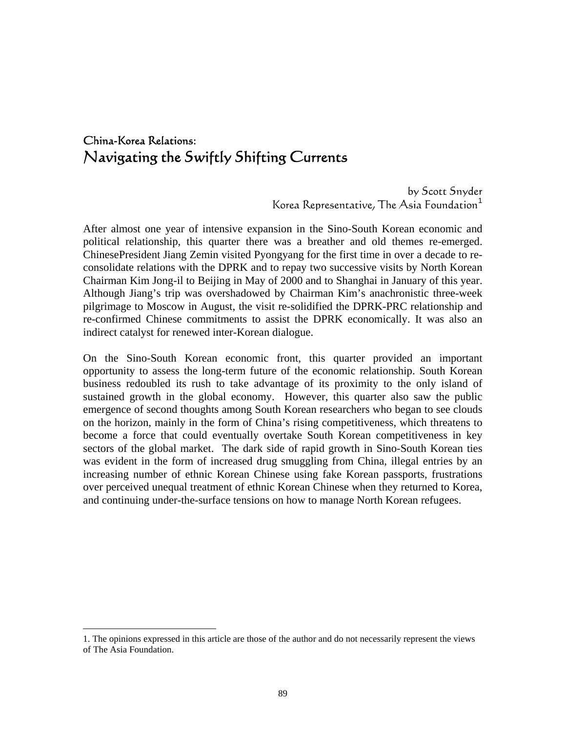# China-Korea Relations: Navigating the Swiftly Shifting Currents

 by Scott Snyder Korea Representative, The Asia Foundation<sup>[1](#page-0-0)</sup>

After almost one year of intensive expansion in the Sino-South Korean economic and political relationship, this quarter there was a breather and old themes re-emerged. ChinesePresident Jiang Zemin visited Pyongyang for the first time in over a decade to reconsolidate relations with the DPRK and to repay two successive visits by North Korean Chairman Kim Jong-il to Beijing in May of 2000 and to Shanghai in January of this year. Although Jiang's trip was overshadowed by Chairman Kim's anachronistic three-week pilgrimage to Moscow in August, the visit re-solidified the DPRK-PRC relationship and re-confirmed Chinese commitments to assist the DPRK economically. It was also an indirect catalyst for renewed inter-Korean dialogue.

On the Sino-South Korean economic front, this quarter provided an important opportunity to assess the long-term future of the economic relationship. South Korean business redoubled its rush to take advantage of its proximity to the only island of sustained growth in the global economy. However, this quarter also saw the public emergence of second thoughts among South Korean researchers who began to see clouds on the horizon, mainly in the form of China's rising competitiveness, which threatens to become a force that could eventually overtake South Korean competitiveness in key sectors of the global market. The dark side of rapid growth in Sino-South Korean ties was evident in the form of increased drug smuggling from China, illegal entries by an increasing number of ethnic Korean Chinese using fake Korean passports, frustrations over perceived unequal treatment of ethnic Korean Chinese when they returned to Korea, and continuing under-the-surface tensions on how to manage North Korean refugees.

 $\overline{a}$ 

<span id="page-0-0"></span><sup>1.</sup> The opinions expressed in this article are those of the author and do not necessarily represent the views of The Asia Foundation.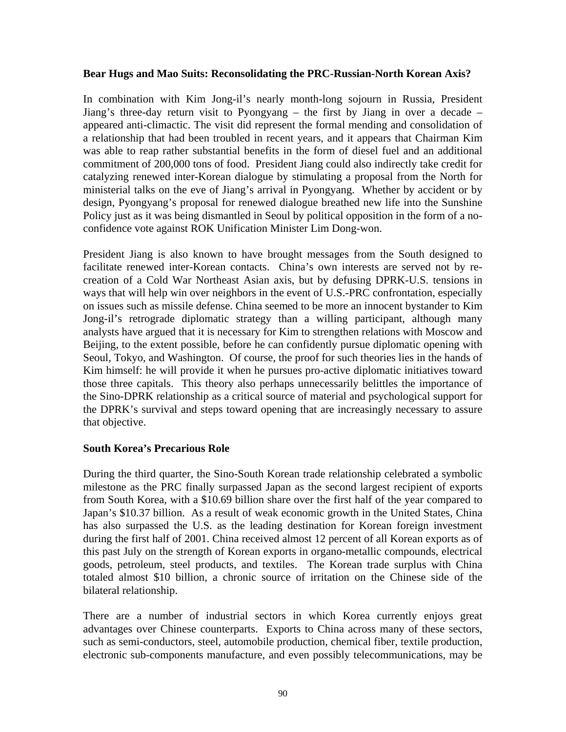### **Bear Hugs and Mao Suits: Reconsolidating the PRC-Russian-North Korean Axis?**

In combination with Kim Jong-il's nearly month-long sojourn in Russia, President Jiang's three-day return visit to Pyongyang – the first by Jiang in over a decade – appeared anti-climactic. The visit did represent the formal mending and consolidation of a relationship that had been troubled in recent years, and it appears that Chairman Kim was able to reap rather substantial benefits in the form of diesel fuel and an additional commitment of 200,000 tons of food. President Jiang could also indirectly take credit for catalyzing renewed inter-Korean dialogue by stimulating a proposal from the North for ministerial talks on the eve of Jiang's arrival in Pyongyang. Whether by accident or by design, Pyongyang's proposal for renewed dialogue breathed new life into the Sunshine Policy just as it was being dismantled in Seoul by political opposition in the form of a noconfidence vote against ROK Unification Minister Lim Dong-won.

President Jiang is also known to have brought messages from the South designed to facilitate renewed inter-Korean contacts. China's own interests are served not by recreation of a Cold War Northeast Asian axis, but by defusing DPRK-U.S. tensions in ways that will help win over neighbors in the event of U.S.-PRC confrontation, especially on issues such as missile defense. China seemed to be more an innocent bystander to Kim Jong-il's retrograde diplomatic strategy than a willing participant, although many analysts have argued that it is necessary for Kim to strengthen relations with Moscow and Beijing, to the extent possible, before he can confidently pursue diplomatic opening with Seoul, Tokyo, and Washington. Of course, the proof for such theories lies in the hands of Kim himself: he will provide it when he pursues pro-active diplomatic initiatives toward those three capitals. This theory also perhaps unnecessarily belittles the importance of the Sino-DPRK relationship as a critical source of material and psychological support for the DPRK's survival and steps toward opening that are increasingly necessary to assure that objective.

### **South Korea's Precarious Role**

During the third quarter, the Sino-South Korean trade relationship celebrated a symbolic milestone as the PRC finally surpassed Japan as the second largest recipient of exports from South Korea, with a \$10.69 billion share over the first half of the year compared to Japan's \$10.37 billion. As a result of weak economic growth in the United States, China has also surpassed the U.S. as the leading destination for Korean foreign investment during the first half of 2001. China received almost 12 percent of all Korean exports as of this past July on the strength of Korean exports in organo-metallic compounds, electrical goods, petroleum, steel products, and textiles. The Korean trade surplus with China totaled almost \$10 billion, a chronic source of irritation on the Chinese side of the bilateral relationship.

There are a number of industrial sectors in which Korea currently enjoys great advantages over Chinese counterparts. Exports to China across many of these sectors, such as semi-conductors, steel, automobile production, chemical fiber, textile production, electronic sub-components manufacture, and even possibly telecommunications, may be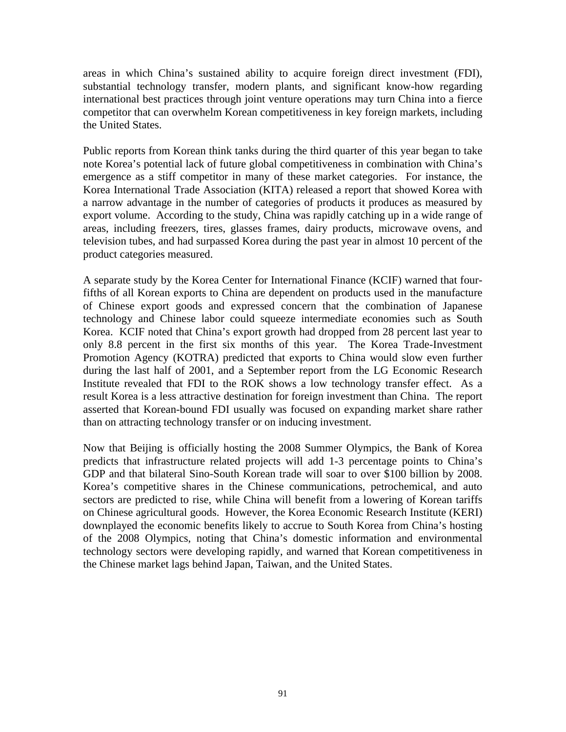areas in which China's sustained ability to acquire foreign direct investment (FDI), substantial technology transfer, modern plants, and significant know-how regarding international best practices through joint venture operations may turn China into a fierce competitor that can overwhelm Korean competitiveness in key foreign markets, including the United States.

Public reports from Korean think tanks during the third quarter of this year began to take note Korea's potential lack of future global competitiveness in combination with China's emergence as a stiff competitor in many of these market categories. For instance, the Korea International Trade Association (KITA) released a report that showed Korea with a narrow advantage in the number of categories of products it produces as measured by export volume. According to the study, China was rapidly catching up in a wide range of areas, including freezers, tires, glasses frames, dairy products, microwave ovens, and television tubes, and had surpassed Korea during the past year in almost 10 percent of the product categories measured.

A separate study by the Korea Center for International Finance (KCIF) warned that fourfifths of all Korean exports to China are dependent on products used in the manufacture of Chinese export goods and expressed concern that the combination of Japanese technology and Chinese labor could squeeze intermediate economies such as South Korea. KCIF noted that China's export growth had dropped from 28 percent last year to only 8.8 percent in the first six months of this year. The Korea Trade-Investment Promotion Agency (KOTRA) predicted that exports to China would slow even further during the last half of 2001, and a September report from the LG Economic Research Institute revealed that FDI to the ROK shows a low technology transfer effect. As a result Korea is a less attractive destination for foreign investment than China. The report asserted that Korean-bound FDI usually was focused on expanding market share rather than on attracting technology transfer or on inducing investment.

Now that Beijing is officially hosting the 2008 Summer Olympics, the Bank of Korea predicts that infrastructure related projects will add 1-3 percentage points to China's GDP and that bilateral Sino-South Korean trade will soar to over \$100 billion by 2008. Korea's competitive shares in the Chinese communications, petrochemical, and auto sectors are predicted to rise, while China will benefit from a lowering of Korean tariffs on Chinese agricultural goods. However, the Korea Economic Research Institute (KERI) downplayed the economic benefits likely to accrue to South Korea from China's hosting of the 2008 Olympics, noting that China's domestic information and environmental technology sectors were developing rapidly, and warned that Korean competitiveness in the Chinese market lags behind Japan, Taiwan, and the United States.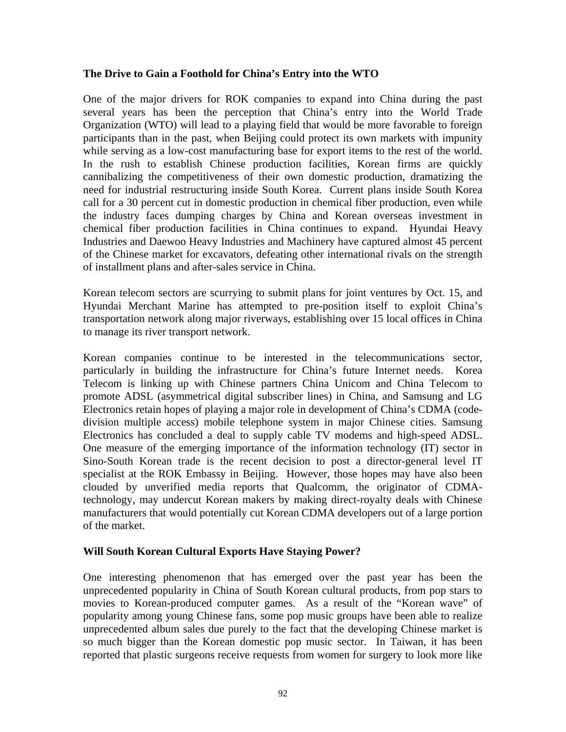# **The Drive to Gain a Foothold for China's Entry into the WTO**

One of the major drivers for ROK companies to expand into China during the past several years has been the perception that China's entry into the World Trade Organization (WTO) will lead to a playing field that would be more favorable to foreign participants than in the past, when Beijing could protect its own markets with impunity while serving as a low-cost manufacturing base for export items to the rest of the world. In the rush to establish Chinese production facilities, Korean firms are quickly cannibalizing the competitiveness of their own domestic production, dramatizing the need for industrial restructuring inside South Korea. Current plans inside South Korea call for a 30 percent cut in domestic production in chemical fiber production, even while the industry faces dumping charges by China and Korean overseas investment in chemical fiber production facilities in China continues to expand. Hyundai Heavy Industries and Daewoo Heavy Industries and Machinery have captured almost 45 percent of the Chinese market for excavators, defeating other international rivals on the strength of installment plans and after-sales service in China.

Korean telecom sectors are scurrying to submit plans for joint ventures by Oct. 15, and Hyundai Merchant Marine has attempted to pre-position itself to exploit China's transportation network along major riverways, establishing over 15 local offices in China to manage its river transport network.

Korean companies continue to be interested in the telecommunications sector, particularly in building the infrastructure for China's future Internet needs. Korea Telecom is linking up with Chinese partners China Unicom and China Telecom to promote ADSL (asymmetrical digital subscriber lines) in China, and Samsung and LG Electronics retain hopes of playing a major role in development of China's CDMA (codedivision multiple access) mobile telephone system in major Chinese cities. Samsung Electronics has concluded a deal to supply cable TV modems and high-speed ADSL. One measure of the emerging importance of the information technology (IT) sector in Sino-South Korean trade is the recent decision to post a director-general level IT specialist at the ROK Embassy in Beijing. However, those hopes may have also been clouded by unverified media reports that Qualcomm, the originator of CDMAtechnology, may undercut Korean makers by making direct-royalty deals with Chinese manufacturers that would potentially cut Korean CDMA developers out of a large portion of the market.

### **Will South Korean Cultural Exports Have Staying Power?**

One interesting phenomenon that has emerged over the past year has been the unprecedented popularity in China of South Korean cultural products, from pop stars to movies to Korean-produced computer games. As a result of the "Korean wave" of popularity among young Chinese fans, some pop music groups have been able to realize unprecedented album sales due purely to the fact that the developing Chinese market is so much bigger than the Korean domestic pop music sector. In Taiwan, it has been reported that plastic surgeons receive requests from women for surgery to look more like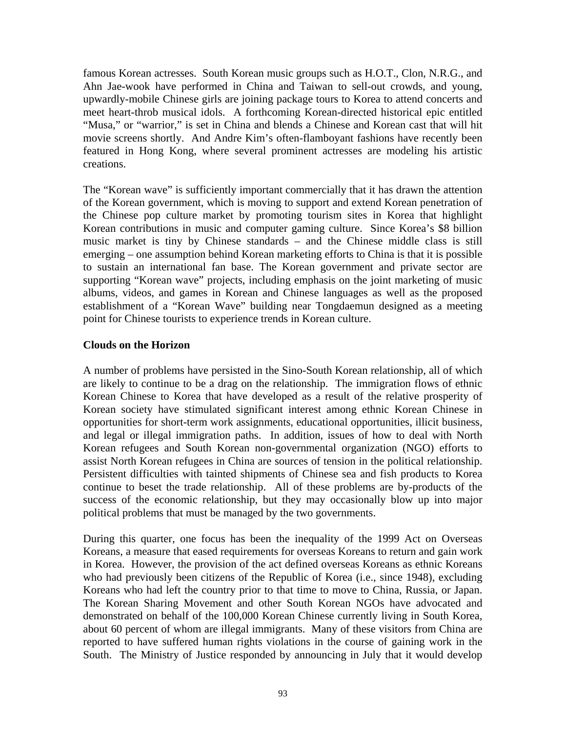famous Korean actresses. South Korean music groups such as H.O.T., Clon, N.R.G., and Ahn Jae-wook have performed in China and Taiwan to sell-out crowds, and young, upwardly-mobile Chinese girls are joining package tours to Korea to attend concerts and meet heart-throb musical idols. A forthcoming Korean-directed historical epic entitled "Musa," or "warrior," is set in China and blends a Chinese and Korean cast that will hit movie screens shortly. And Andre Kim's often-flamboyant fashions have recently been featured in Hong Kong, where several prominent actresses are modeling his artistic creations.

The "Korean wave" is sufficiently important commercially that it has drawn the attention of the Korean government, which is moving to support and extend Korean penetration of the Chinese pop culture market by promoting tourism sites in Korea that highlight Korean contributions in music and computer gaming culture. Since Korea's \$8 billion music market is tiny by Chinese standards – and the Chinese middle class is still emerging – one assumption behind Korean marketing efforts to China is that it is possible to sustain an international fan base. The Korean government and private sector are supporting "Korean wave" projects, including emphasis on the joint marketing of music albums, videos, and games in Korean and Chinese languages as well as the proposed establishment of a "Korean Wave" building near Tongdaemun designed as a meeting point for Chinese tourists to experience trends in Korean culture.

# **Clouds on the Horizon**

A number of problems have persisted in the Sino-South Korean relationship, all of which are likely to continue to be a drag on the relationship. The immigration flows of ethnic Korean Chinese to Korea that have developed as a result of the relative prosperity of Korean society have stimulated significant interest among ethnic Korean Chinese in opportunities for short-term work assignments, educational opportunities, illicit business, and legal or illegal immigration paths. In addition, issues of how to deal with North Korean refugees and South Korean non-governmental organization (NGO) efforts to assist North Korean refugees in China are sources of tension in the political relationship. Persistent difficulties with tainted shipments of Chinese sea and fish products to Korea continue to beset the trade relationship. All of these problems are by-products of the success of the economic relationship, but they may occasionally blow up into major political problems that must be managed by the two governments.

During this quarter, one focus has been the inequality of the 1999 Act on Overseas Koreans, a measure that eased requirements for overseas Koreans to return and gain work in Korea. However, the provision of the act defined overseas Koreans as ethnic Koreans who had previously been citizens of the Republic of Korea (i.e., since 1948), excluding Koreans who had left the country prior to that time to move to China, Russia, or Japan. The Korean Sharing Movement and other South Korean NGOs have advocated and demonstrated on behalf of the 100,000 Korean Chinese currently living in South Korea, about 60 percent of whom are illegal immigrants. Many of these visitors from China are reported to have suffered human rights violations in the course of gaining work in the South. The Ministry of Justice responded by announcing in July that it would develop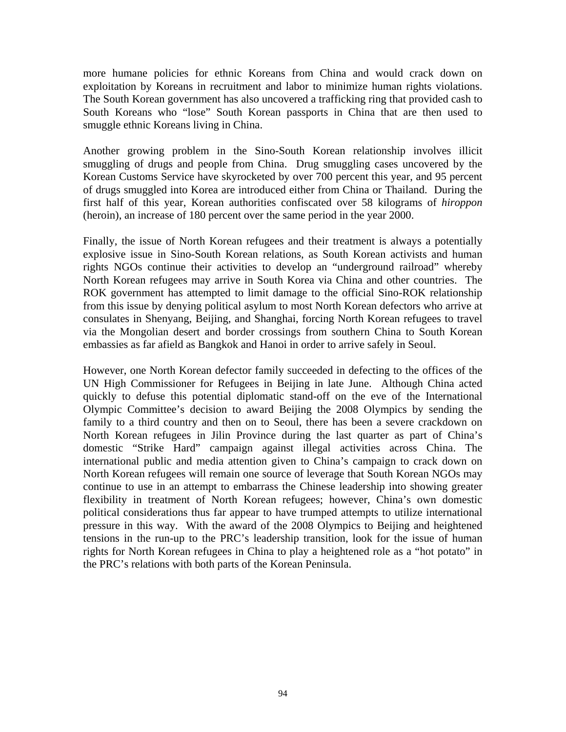more humane policies for ethnic Koreans from China and would crack down on exploitation by Koreans in recruitment and labor to minimize human rights violations. The South Korean government has also uncovered a trafficking ring that provided cash to South Koreans who "lose" South Korean passports in China that are then used to smuggle ethnic Koreans living in China.

Another growing problem in the Sino-South Korean relationship involves illicit smuggling of drugs and people from China. Drug smuggling cases uncovered by the Korean Customs Service have skyrocketed by over 700 percent this year, and 95 percent of drugs smuggled into Korea are introduced either from China or Thailand. During the first half of this year, Korean authorities confiscated over 58 kilograms of *hiroppon* (heroin), an increase of 180 percent over the same period in the year 2000.

Finally, the issue of North Korean refugees and their treatment is always a potentially explosive issue in Sino-South Korean relations, as South Korean activists and human rights NGOs continue their activities to develop an "underground railroad" whereby North Korean refugees may arrive in South Korea via China and other countries. The ROK government has attempted to limit damage to the official Sino-ROK relationship from this issue by denying political asylum to most North Korean defectors who arrive at consulates in Shenyang, Beijing, and Shanghai, forcing North Korean refugees to travel via the Mongolian desert and border crossings from southern China to South Korean embassies as far afield as Bangkok and Hanoi in order to arrive safely in Seoul.

However, one North Korean defector family succeeded in defecting to the offices of the UN High Commissioner for Refugees in Beijing in late June. Although China acted quickly to defuse this potential diplomatic stand-off on the eve of the International Olympic Committee's decision to award Beijing the 2008 Olympics by sending the family to a third country and then on to Seoul, there has been a severe crackdown on North Korean refugees in Jilin Province during the last quarter as part of China's domestic "Strike Hard" campaign against illegal activities across China. The international public and media attention given to China's campaign to crack down on North Korean refugees will remain one source of leverage that South Korean NGOs may continue to use in an attempt to embarrass the Chinese leadership into showing greater flexibility in treatment of North Korean refugees; however, China's own domestic political considerations thus far appear to have trumped attempts to utilize international pressure in this way. With the award of the 2008 Olympics to Beijing and heightened tensions in the run-up to the PRC's leadership transition, look for the issue of human rights for North Korean refugees in China to play a heightened role as a "hot potato" in the PRC's relations with both parts of the Korean Peninsula.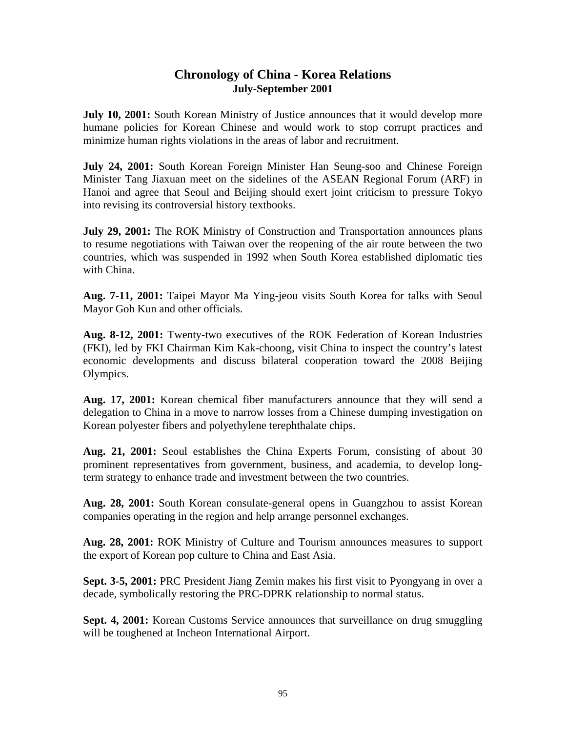# **Chronology of China - Korea Relations July-September 2001**

**July 10, 2001:** South Korean Ministry of Justice announces that it would develop more humane policies for Korean Chinese and would work to stop corrupt practices and minimize human rights violations in the areas of labor and recruitment.

**July 24, 2001:** South Korean Foreign Minister Han Seung-soo and Chinese Foreign Minister Tang Jiaxuan meet on the sidelines of the ASEAN Regional Forum (ARF) in Hanoi and agree that Seoul and Beijing should exert joint criticism to pressure Tokyo into revising its controversial history textbooks.

**July 29, 2001:** The ROK Ministry of Construction and Transportation announces plans to resume negotiations with Taiwan over the reopening of the air route between the two countries, which was suspended in 1992 when South Korea established diplomatic ties with China.

**Aug. 7-11, 2001:** Taipei Mayor Ma Ying-jeou visits South Korea for talks with Seoul Mayor Goh Kun and other officials.

**Aug. 8-12, 2001:** Twenty-two executives of the ROK Federation of Korean Industries (FKI), led by FKI Chairman Kim Kak-choong, visit China to inspect the country's latest economic developments and discuss bilateral cooperation toward the 2008 Beijing Olympics.

**Aug. 17, 2001:** Korean chemical fiber manufacturers announce that they will send a delegation to China in a move to narrow losses from a Chinese dumping investigation on Korean polyester fibers and polyethylene terephthalate chips.

**Aug. 21, 2001:** Seoul establishes the China Experts Forum, consisting of about 30 prominent representatives from government, business, and academia, to develop longterm strategy to enhance trade and investment between the two countries.

**Aug. 28, 2001:** South Korean consulate-general opens in Guangzhou to assist Korean companies operating in the region and help arrange personnel exchanges.

**Aug. 28, 2001:** ROK Ministry of Culture and Tourism announces measures to support the export of Korean pop culture to China and East Asia.

**Sept. 3-5, 2001:** PRC President Jiang Zemin makes his first visit to Pyongyang in over a decade, symbolically restoring the PRC-DPRK relationship to normal status.

**Sept. 4, 2001:** Korean Customs Service announces that surveillance on drug smuggling will be toughened at Incheon International Airport.